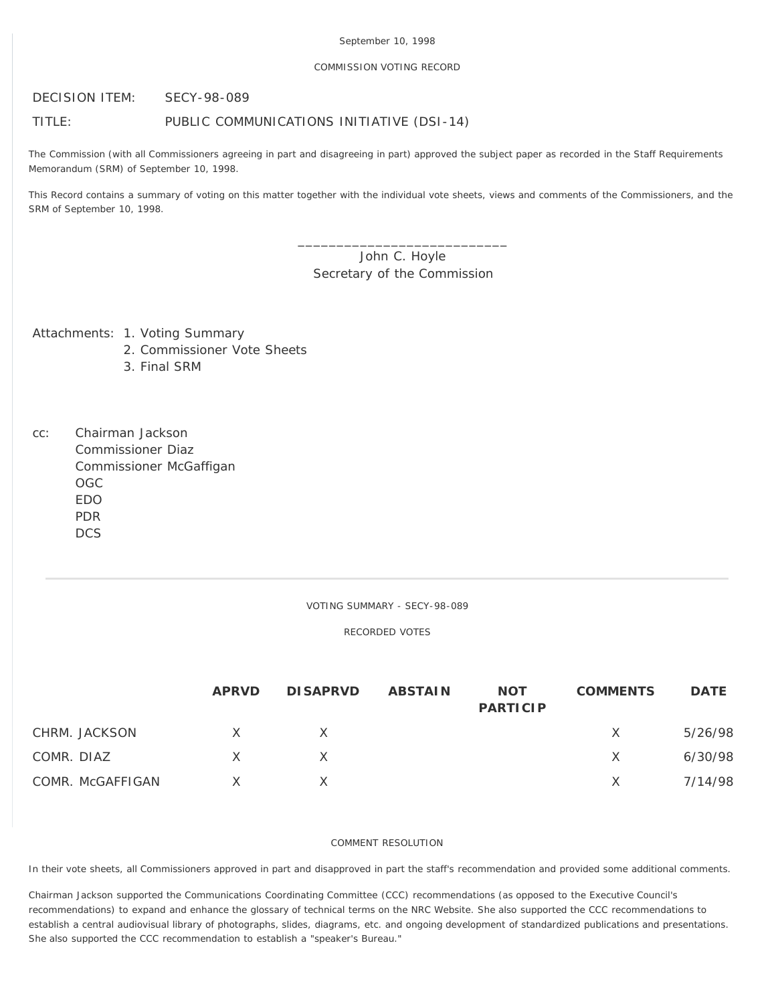#### COMMISSION VOTING RECORD

DECISION ITEM: SECY-98-089

## TITLE: PUBLIC COMMUNICATIONS INITIATIVE (DSI-14)

The Commission (with all Commissioners agreeing in part and disagreeing in part) approved the subject paper as recorded in the Staff Requirements Memorandum (SRM) of September 10, 1998.

This Record contains a summary of voting on this matter together with the individual vote sheets, views and comments of the Commissioners, and the SRM of September 10, 1998.

# John C. Hoyle Secretary of the Commission

\_\_\_\_\_\_\_\_\_\_\_\_\_\_\_\_\_\_\_\_\_\_\_\_\_\_\_

Attachments: 1. Voting Summary

- 2. Commissioner Vote Sheets
- 3. Final SRM
- cc: Chairman Jackson Commissioner Diaz Commissioner McGaffigan

OGC EDO PDR

**DCS** 

### VOTING SUMMARY - SECY-98-089

RECORDED VOTES

|                  | <b>APRVD</b> | <b>DISAPRVD</b> | <b>ABSTAIN</b> | <b>NOT</b><br><b>PARTICIP</b> | <b>COMMENTS</b> | <b>DATE</b> |
|------------------|--------------|-----------------|----------------|-------------------------------|-----------------|-------------|
| CHRM. JACKSON    | $\mathsf{X}$ |                 |                |                               | X               | 5/26/98     |
| COMR. DIAZ       | $\times$     | $\times$        |                |                               | $\times$        | 6/30/98     |
| COMR. McGAFFIGAN | $\mathsf{X}$ |                 |                |                               | $\mathsf{X}$    | 7/14/98     |

### COMMENT RESOLUTION

In their vote sheets, all Commissioners approved in part and disapproved in part the staff's recommendation and provided some additional comments.

Chairman Jackson supported the Communications Coordinating Committee (CCC) recommendations (as opposed to the Executive Council's recommendations) to expand and enhance the glossary of technical terms on the NRC Website. She also supported the CCC recommendations to establish a central audiovisual library of photographs, slides, diagrams, etc. and ongoing development of standardized publications and presentations. She also supported the CCC recommendation to establish a "speaker's Bureau."